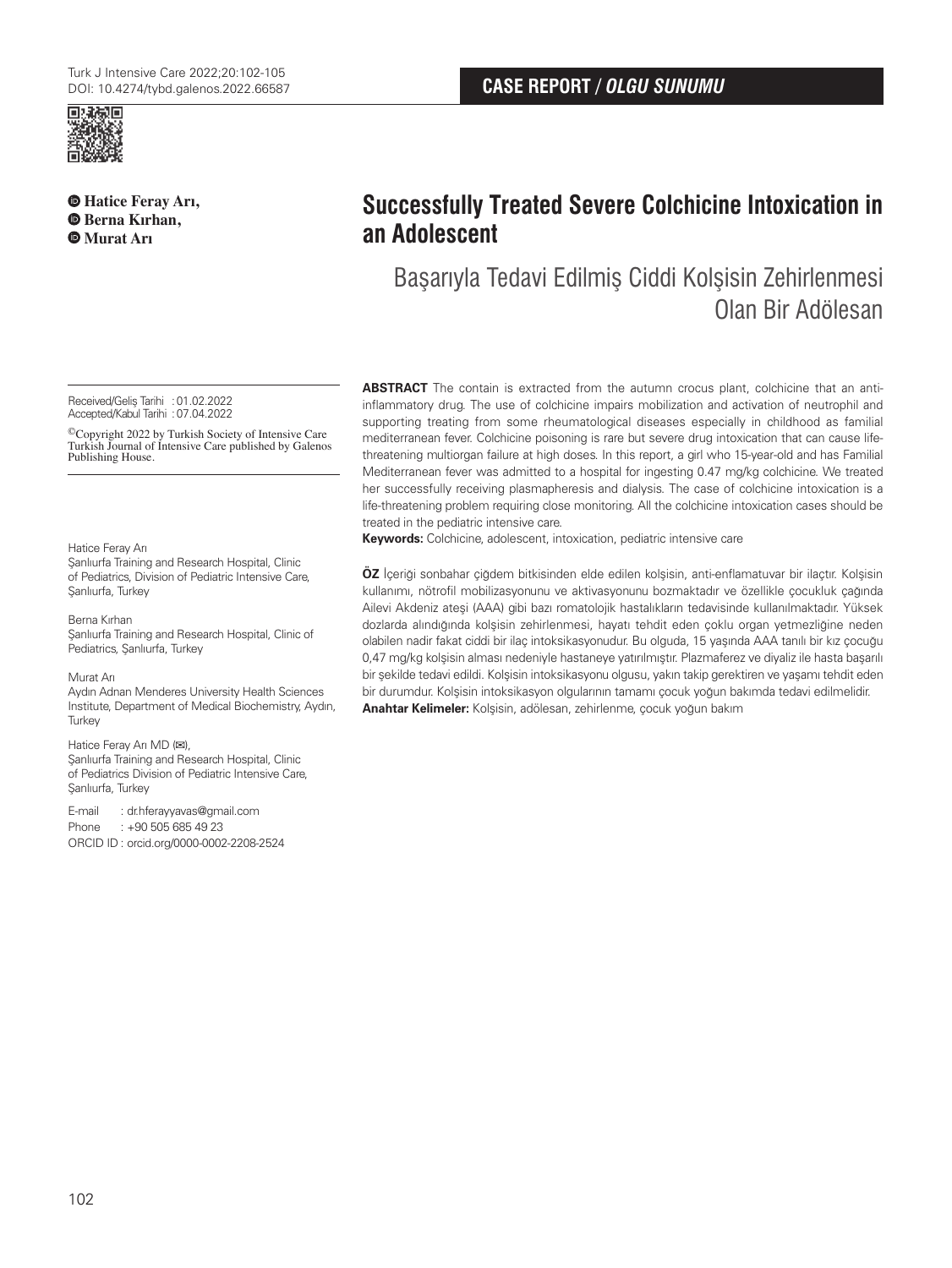

**Hatice Feray Arı, Berna Kırhan, Murat Arı**

# **Successfully Treated Severe Colchicine Intoxication in an Adolescent**

Başarıyla Tedavi Edilmiş Ciddi Kolşisin Zehirlenmesi Olan Bir Adölesan

Received/Gelis Tarihi : 01.02.2022 Accepted/Kabul Tarihi :07.04.2022

©Copyright 2022 by Turkish Society of Intensive Care Turkish Journal of Intensive Care published by Galenos Publishing House.

#### Hatice Feray Arı

Sanlıurfa Training and Research Hospital, Clinic of Pediatrics, Division of Pediatric Intensive Care, Sanlıurfa, Turkey

Berna Kırhan Şanlıurfa Training and Research Hospital, Clinic of Pediatrics, Şanlıurfa, Turkey

Murat Arı

Aydın Adnan Menderes University Health Sciences Institute, Department of Medical Biochemistry, Aydın, **Turkey** 

#### Hatice Feray Arı MD (**✉**),

Sanlıurfa Training and Research Hospital, Clinic of Pediatrics Division of Pediatric Intensive Care, Şanlıurfa, Turkey

E-mail : dr.hferayyavas@gmail.com Phone : +90 505 685 49 23 ORCID ID : orcid.org/0000-0002-2208-2524 **ABSTRACT** The contain is extracted from the autumn crocus plant, colchicine that an antiinflammatory drug. The use of colchicine impairs mobilization and activation of neutrophil and supporting treating from some rheumatological diseases especially in childhood as familial mediterranean fever. Colchicine poisoning is rare but severe drug intoxication that can cause lifethreatening multiorgan failure at high doses. In this report, a girl who 15-year-old and has Familial Mediterranean fever was admitted to a hospital for ingesting 0.47 mg/kg colchicine. We treated her successfully receiving plasmapheresis and dialysis. The case of colchicine intoxication is a life-threatening problem requiring close monitoring. All the colchicine intoxication cases should be treated in the pediatric intensive care.

**Keywords:** Colchicine, adolescent, intoxication, pediatric intensive care

**ÖZ** İçeriği sonbahar çiğdem bitkisinden elde edilen kolşisin, anti-enflamatuvar bir ilaçtır. Kolşisin kullanımı, nötrofil mobilizasyonunu ve aktivasyonunu bozmaktadır ve özellikle çocukluk çağında Ailevi Akdeniz ateşi (AAA) gibi bazı romatolojik hastalıkların tedavisinde kullanılmaktadır. Yüksek dozlarda alındığında kolşisin zehirlenmesi, hayatı tehdit eden çoklu organ yetmezliğine neden olabilen nadir fakat ciddi bir ilaç intoksikasyonudur. Bu olguda, 15 yaşında AAA tanılı bir kız çocuğu 0,47 mg/kg kolşisin alması nedeniyle hastaneye yatırılmıştır. Plazmaferez ve diyaliz ile hasta başarılı bir şekilde tedavi edildi. Kolşisin intoksikasyonu olgusu, yakın takip gerektiren ve yaşamı tehdit eden bir durumdur. Kolşisin intoksikasyon olgularının tamamı çocuk yoğun bakımda tedavi edilmelidir. **Anahtar Kelimeler:** Kolşisin, adölesan, zehirlenme, çocuk yoğun bakım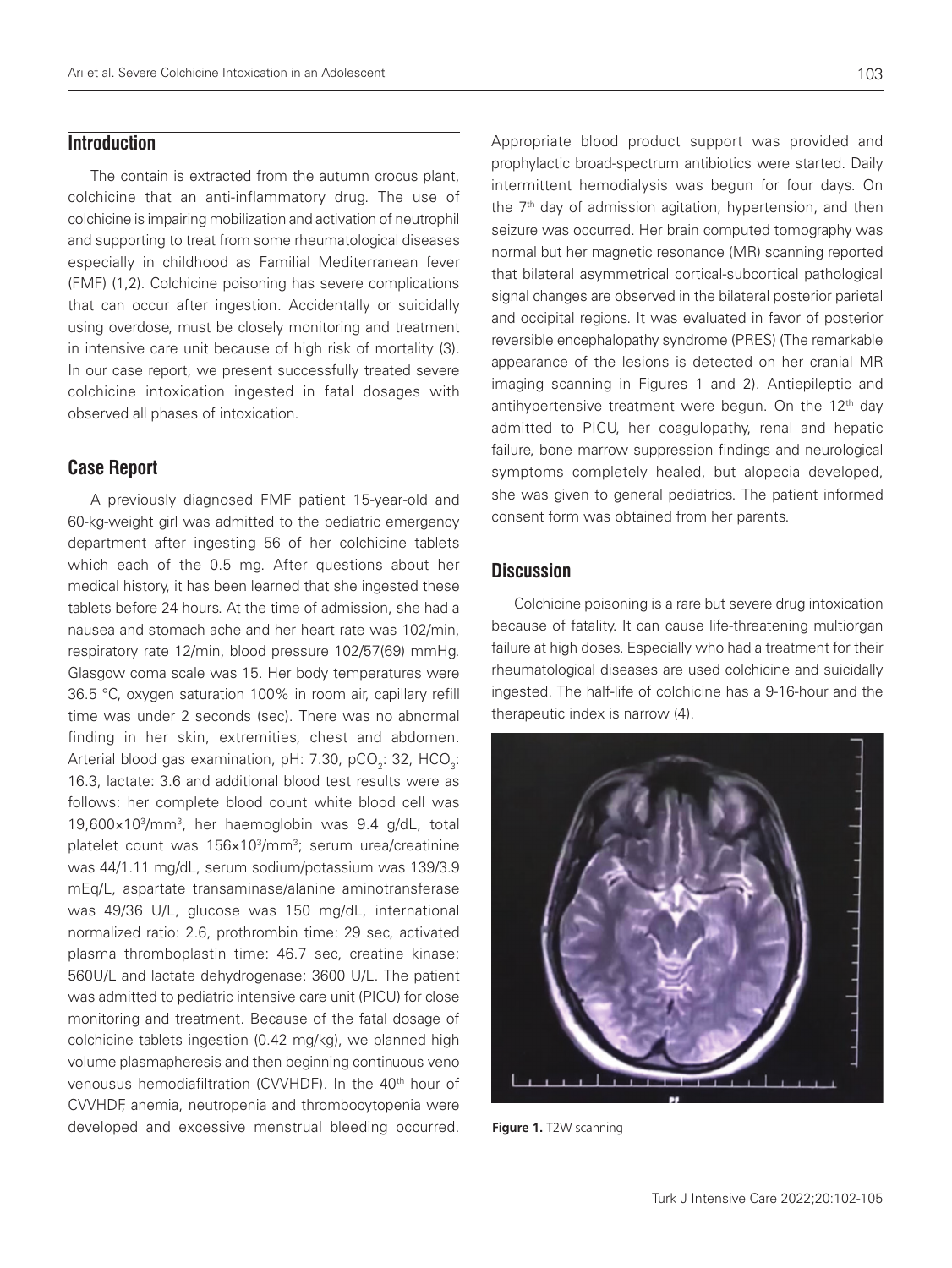# **Introduction**

The contain is extracted from the autumn crocus plant, colchicine that an anti-inflammatory drug. The use of colchicine is impairing mobilization and activation of neutrophil and supporting to treat from some rheumatological diseases especially in childhood as Familial Mediterranean fever (FMF) (1,2). Colchicine poisoning has severe complications that can occur after ingestion. Accidentally or suicidally using overdose, must be closely monitoring and treatment in intensive care unit because of high risk of mortality (3). In our case report, we present successfully treated severe colchicine intoxication ingested in fatal dosages with observed all phases of intoxication.

# **Case Report**

A previously diagnosed FMF patient 15-year-old and 60-kg-weight girl was admitted to the pediatric emergency department after ingesting 56 of her colchicine tablets which each of the 0.5 mg. After questions about her medical history, it has been learned that she ingested these tablets before 24 hours. At the time of admission, she had a nausea and stomach ache and her heart rate was 102/min, respiratory rate 12/min, blood pressure 102/57(69) mmHg. Glasgow coma scale was 15. Her body temperatures were 36.5 °C, oxygen saturation 100% in room air, capillary refill time was under 2 seconds (sec). There was no abnormal finding in her skin, extremities, chest and abdomen. Arterial blood gas examination, pH: 7.30, pCO<sub>2</sub>: 32, HCO<sub>3</sub>: 16.3, lactate: 3.6 and additional blood test results were as follows: her complete blood count white blood cell was 19,600×103/mm3, her haemoglobin was 9.4 g/dL, total platelet count was 156×103/mm3 ; serum urea/creatinine was 44/1.11 mg/dL, serum sodium/potassium was 139/3.9 mEq/L, aspartate transaminase/alanine aminotransferase was 49/36 U/L, glucose was 150 mg/dL, international normalized ratio: 2.6, prothrombin time: 29 sec, activated plasma thromboplastin time: 46.7 sec, creatine kinase: 560U/L and lactate dehydrogenase: 3600 U/L. The patient was admitted to pediatric intensive care unit (PICU) for close monitoring and treatment. Because of the fatal dosage of colchicine tablets ingestion (0.42 mg/kg), we planned high volume plasmapheresis and then beginning continuous veno venousus hemodiafiltration (CVVHDF). In the 40<sup>th</sup> hour of CVVHDF, anemia, neutropenia and thrombocytopenia were developed and excessive menstrual bleeding occurred. Appropriate blood product support was provided and prophylactic broad-spectrum antibiotics were started. Daily intermittent hemodialysis was begun for four days. On the 7<sup>th</sup> day of admission agitation, hypertension, and then seizure was occurred. Her brain computed tomography was normal but her magnetic resonance (MR) scanning reported that bilateral asymmetrical cortical-subcortical pathological signal changes are observed in the bilateral posterior parietal and occipital regions. It was evaluated in favor of posterior reversible encephalopathy syndrome (PRES) (The remarkable appearance of the lesions is detected on her cranial MR imaging scanning in Figures 1 and 2). Antiepileptic and antihypertensive treatment were begun. On the  $12<sup>th</sup>$  day admitted to PICU, her coagulopathy, renal and hepatic failure, bone marrow suppression findings and neurological symptoms completely healed, but alopecia developed, she was given to general pediatrics. The patient informed consent form was obtained from her parents.

## **Discussion**

Colchicine poisoning is a rare but severe drug intoxication because of fatality. It can cause life-threatening multiorgan failure at high doses. Especially who had a treatment for their rheumatological diseases are used colchicine and suicidally ingested. The half-life of colchicine has a 9-16-hour and the therapeutic index is narrow (4).



**Figure 1.** T2W scanning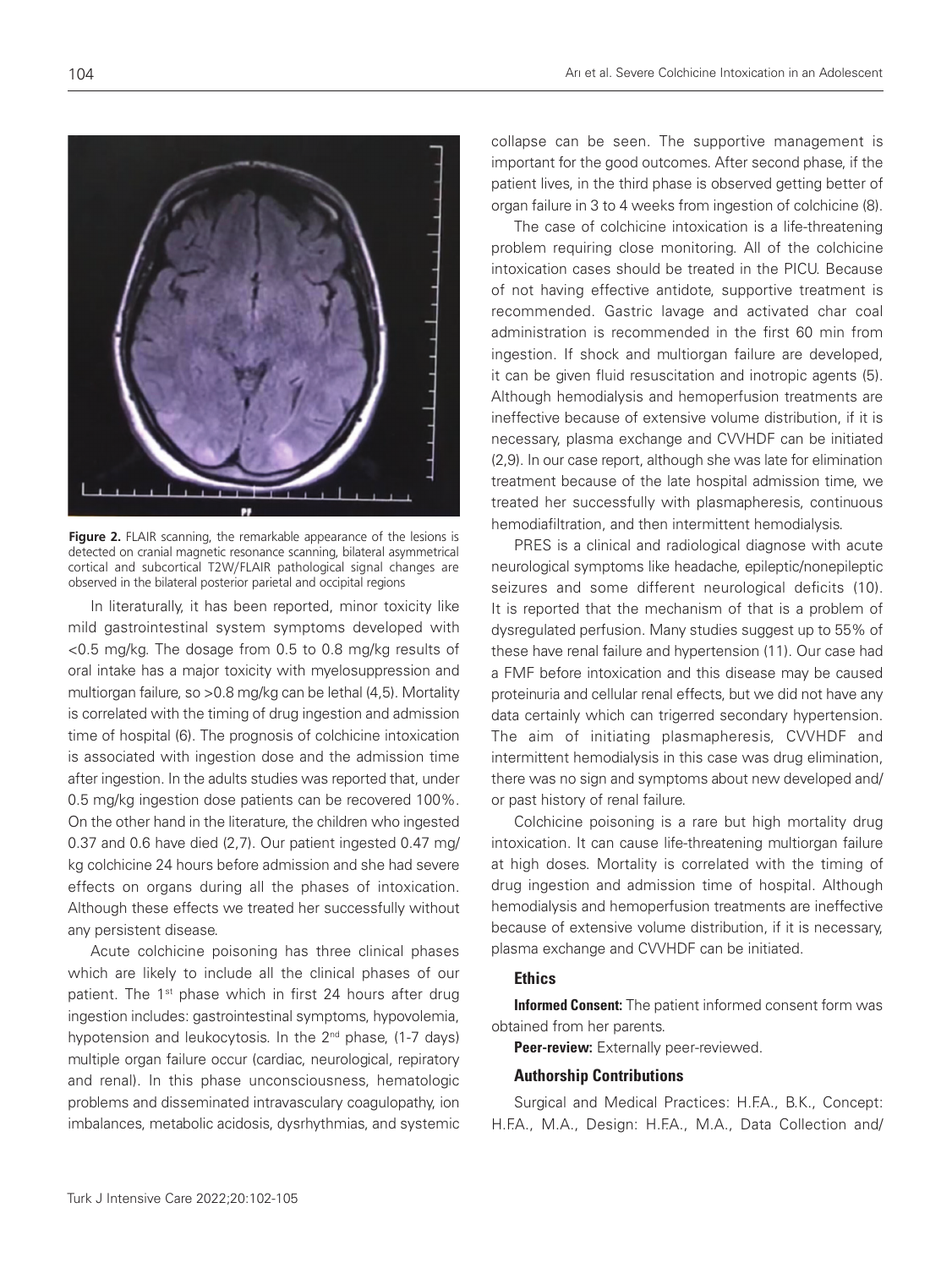**Figure 2.** FLAIR scanning, the remarkable appearance of the lesions is detected on cranial magnetic resonance scanning, bilateral asymmetrical cortical and subcortical T2W/FLAIR pathological signal changes are observed in the bilateral posterior parietal and occipital regions

In literaturally, it has been reported, minor toxicity like mild gastrointestinal system symptoms developed with <0.5 mg/kg. The dosage from 0.5 to 0.8 mg/kg results of oral intake has a major toxicity with myelosuppression and multiorgan failure, so >0.8 mg/kg can be lethal (4,5). Mortality is correlated with the timing of drug ingestion and admission time of hospital (6). The prognosis of colchicine intoxication is associated with ingestion dose and the admission time after ingestion. In the adults studies was reported that, under 0.5 mg/kg ingestion dose patients can be recovered 100%. On the other hand in the literature, the children who ingested 0.37 and 0.6 have died (2,7). Our patient ingested 0.47 mg/ kg colchicine 24 hours before admission and she had severe effects on organs during all the phases of intoxication. Although these effects we treated her successfully without any persistent disease.

Acute colchicine poisoning has three clinical phases which are likely to include all the clinical phases of our patient. The 1<sup>st</sup> phase which in first 24 hours after drug ingestion includes: gastrointestinal symptoms, hypovolemia, hypotension and leukocytosis. In the  $2<sup>nd</sup>$  phase, (1-7 days) multiple organ failure occur (cardiac, neurological, repiratory and renal). In this phase unconsciousness, hematologic problems and disseminated intravasculary coagulopathy, ion imbalances, metabolic acidosis, dysrhythmias, and systemic

collapse can be seen. The supportive management is important for the good outcomes. After second phase, if the patient lives, in the third phase is observed getting better of organ failure in 3 to 4 weeks from ingestion of colchicine (8).

The case of colchicine intoxication is a life-threatening problem requiring close monitoring. All of the colchicine intoxication cases should be treated in the PICU. Because of not having effective antidote, supportive treatment is recommended. Gastric lavage and activated char coal administration is recommended in the first 60 min from ingestion. If shock and multiorgan failure are developed, it can be given fluid resuscitation and inotropic agents (5). Although hemodialysis and hemoperfusion treatments are ineffective because of extensive volume distribution, if it is necessary, plasma exchange and CVVHDF can be initiated (2,9). In our case report, although she was late for elimination treatment because of the late hospital admission time, we treated her successfully with plasmapheresis, continuous hemodiafiltration, and then intermittent hemodialysis.

PRES is a clinical and radiological diagnose with acute neurological symptoms like headache, epileptic/nonepileptic seizures and some different neurological deficits (10). It is reported that the mechanism of that is a problem of dysregulated perfusion. Many studies suggest up to 55% of these have renal failure and hypertension (11). Our case had a FMF before intoxication and this disease may be caused proteinuria and cellular renal effects, but we did not have any data certainly which can trigerred secondary hypertension. The aim of initiating plasmapheresis, CVVHDF and intermittent hemodialysis in this case was drug elimination, there was no sign and symptoms about new developed and/ or past history of renal failure.

Colchicine poisoning is a rare but high mortality drug intoxication. It can cause life-threatening multiorgan failure at high doses. Mortality is correlated with the timing of drug ingestion and admission time of hospital. Although hemodialysis and hemoperfusion treatments are ineffective because of extensive volume distribution, if it is necessary, plasma exchange and CVVHDF can be initiated.

## **Ethics**

Informed Consent: The patient informed consent form was obtained from her parents.

Peer-review: Externally peer-reviewed.

### Authorship Contributions

Surgical and Medical Practices: H.F.A., B.K., Concept: H.F.A., M.A., Design: H.F.A., M.A., Data Collection and/